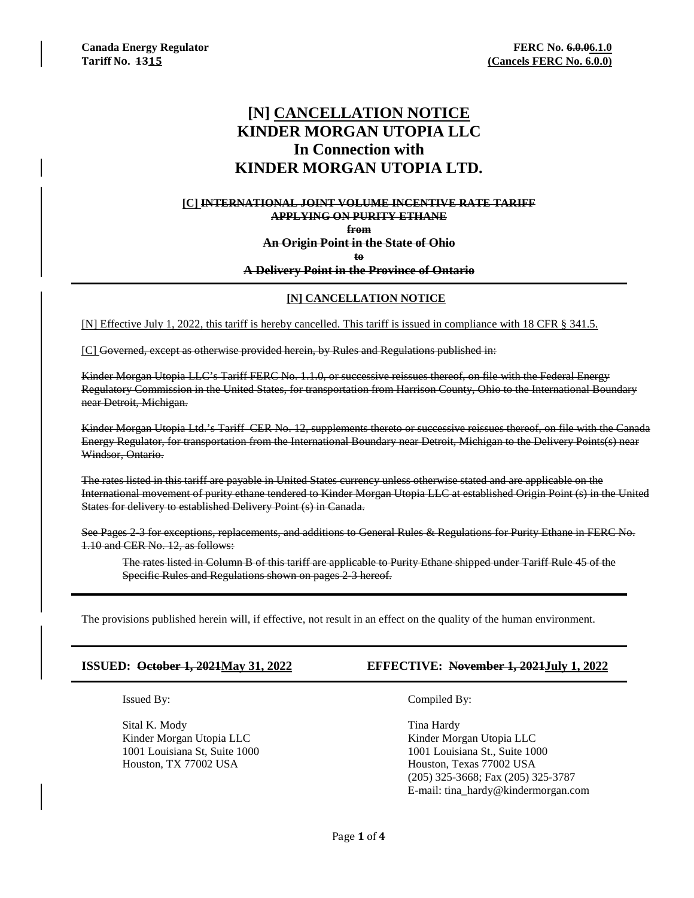# **[N] CANCELLATION NOTICE KINDER MORGAN UTOPIA LLC In Connection with KINDER MORGAN UTOPIA LTD.**

### **[C] INTERNATIONAL JOINT VOLUME INCENTIVE RATE TARIFF APPLYING ON PURITY ETHANE from An Origin Point in the State of Ohio**

**to**

### **A Delivery Point in the Province of Ontario**

### **[N] CANCELLATION NOTICE**

[N] Effective July 1, 2022, this tariff is hereby cancelled. This tariff is issued in compliance with 18 CFR § 341.5.

[C] Governed, except as otherwise provided herein, by Rules and Regulations published in:

Kinder Morgan Utopia LLC's Tariff FERC No. 1.1.0, or successive reissues thereof, on file with the Federal Energy Regulatory Commission in the United States, for transportation from Harrison County, Ohio to the International Boundary near Detroit, Michigan.

Kinder Morgan Utopia Ltd.'s Tariff CER No. 12, supplements thereto or successive reissues thereof, on file with the Canada Energy Regulator, for transportation from the International Boundary near Detroit, Michigan to the Delivery Points(s) near Windsor, Ontario.

The rates listed in this tariff are payable in United States currency unless otherwise stated and are applicable on the International movement of purity ethane tendered to Kinder Morgan Utopia LLC at established Origin Point (s) in the United States for delivery to established Delivery Point (s) in Canada.

See Pages 2-3 for exceptions, replacements, and additions to General Rules & Regulations for Purity Ethane in FERC No. 1.10 and CER No. 12, as follows:

The rates listed in Column B of this tariff are applicable to Purity Ethane shipped under Tariff Rule 45 of the Specific Rules and Regulations shown on pages 2-3 hereof.

The provisions published herein will, if effective, not result in an effect on the quality of the human environment.

Sital K. Mody Tina Hardy Kinder Morgan Utopia LLC Kinder Morgan Utopia LLC Houston, TX 77002 USA Houston, Texas 77002 USA

# **ISSUED: October 1, 2021May 31, 2022 EFFECTIVE: November 1, 2021July 1, 2022**

Issued By: Compiled By:

1001 Louisiana St, Suite 1000 1001 Louisiana St., Suite 1000 (205) 325-3668; Fax (205) 325-3787 E-mail: tina\_hardy@kindermorgan.com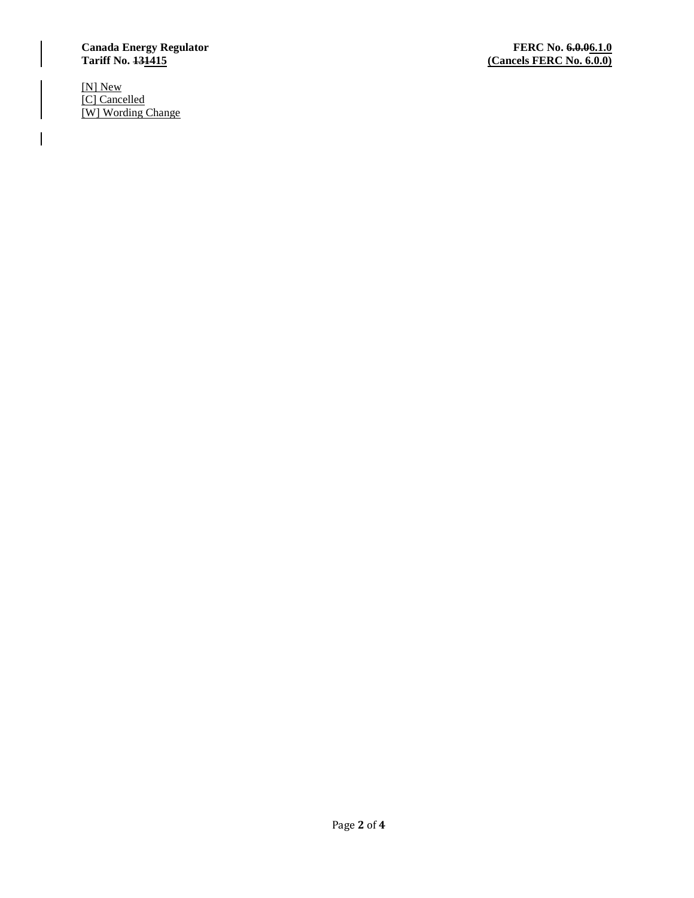# Canada Energy Regulator **FERC No. 6.0.06.1.0**<br>
Tariff No. 431415

[N] New [C] Cancelled [W] Wording Change

 $\overline{\phantom{a}}$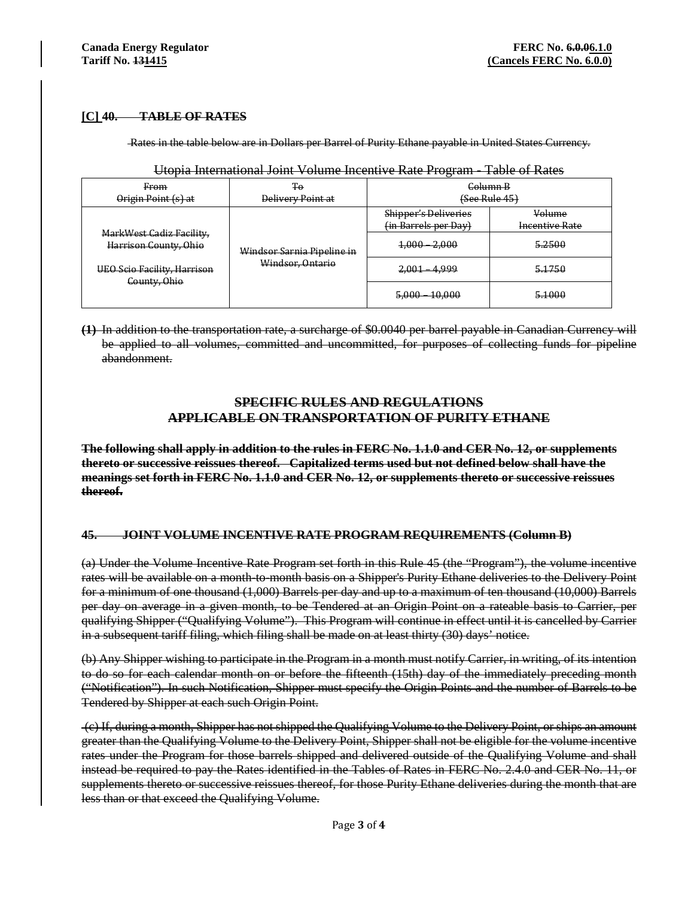# **[C] 40. TABLE OF RATES**

Rates in the table below are in Dollars per Barrel of Purity Ethane payable in United States Currency.

| From<br>Origin Point (s) at                                                                      | Ŧο<br><b>Delivery Point at</b>                 | Golumn B<br>(See Rule 45)                    |                                 |
|--------------------------------------------------------------------------------------------------|------------------------------------------------|----------------------------------------------|---------------------------------|
| MarkWest Gadiz Facility,<br>Harrison County, Ohio<br>UEO Scio Facility, Harrison<br>County, Ohio | Windsor Sarnia Pipeline in<br>Windsor, Ontario | Shipper's Deliveries<br>(in Barrels per Day) | Volume<br><b>Incentive Rate</b> |
|                                                                                                  |                                                | $1,000 - 2,000$                              | 5.2500                          |
|                                                                                                  |                                                | 2,001 4,999                                  | 5.1750                          |
|                                                                                                  |                                                | $5,000 - 10,000$                             | 5.1000<br>.                     |

## Utopia International Joint Volume Incentive Rate Program - Table of Rates

**(1)** In addition to the transportation rate, a surcharge of \$0.0040 per barrel payable in Canadian Currency will be applied to all volumes, committed and uncommitted, for purposes of collecting funds for pipeline abandonment.

# **SPECIFIC RULES AND REGULATIONS APPLICABLE ON TRANSPORTATION OF PURITY ETHANE**

**The following shall apply in addition to the rules in FERC No. 1.1.0 and CER No. 12, or supplements thereto or successive reissues thereof. Capitalized terms used but not defined below shall have the meanings set forth in FERC No. 1.1.0 and CER No. 12, or supplements thereto or successive reissues thereof.** 

# **45. JOINT VOLUME INCENTIVE RATE PROGRAM REQUIREMENTS (Column B)**

(a) Under the Volume Incentive Rate Program set forth in this Rule 45 (the "Program"), the volume incentive rates will be available on a month-to-month basis on a Shipper's Purity Ethane deliveries to the Delivery Point for a minimum of one thousand (1,000) Barrels per day and up to a maximum of ten thousand (10,000) Barrels per day on average in a given month, to be Tendered at an Origin Point on a rateable basis to Carrier, per qualifying Shipper ("Qualifying Volume"). This Program will continue in effect until it is cancelled by Carrier in a subsequent tariff filing, which filing shall be made on at least thirty (30) days' notice.

(b) Any Shipper wishing to participate in the Program in a month must notify Carrier, in writing, of its intention to do so for each calendar month on or before the fifteenth (15th) day of the immediately preceding month ("Notification"). In such Notification, Shipper must specify the Origin Points and the number of Barrels to be Tendered by Shipper at each such Origin Point.

(c) If, during a month, Shipper has not shipped the Qualifying Volume to the Delivery Point, or ships an amount greater than the Qualifying Volume to the Delivery Point, Shipper shall not be eligible for the volume incentive rates under the Program for those barrels shipped and delivered outside of the Qualifying Volume and shall instead be required to pay the Rates identified in the Tables of Rates in FERC No. 2.4.0 and CER No. 11, or supplements thereto or successive reissues thereof, for those Purity Ethane deliveries during the month that are less than or that exceed the Qualifying Volume.